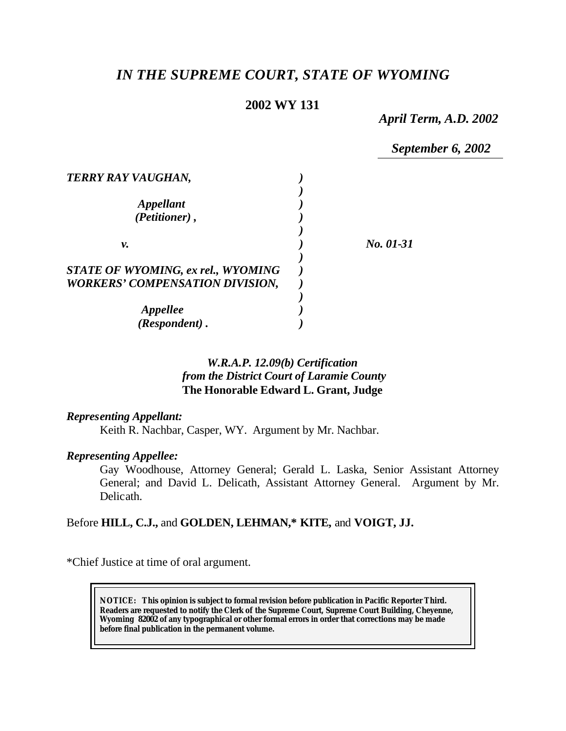# *IN THE SUPREME COURT, STATE OF WYOMING*

# **2002 WY 131**

*April Term, A.D. 2002*

*September 6, 2002*

| <b>TERRY RAY VAUGHAN,</b>                                                           |           |
|-------------------------------------------------------------------------------------|-----------|
| <i><b>Appellant</b></i><br>(Petitioner),                                            |           |
| ν.                                                                                  | No. 01-31 |
| <b>STATE OF WYOMING, ex rel., WYOMING</b><br><b>WORKERS' COMPENSATION DIVISION,</b> |           |
| <b>Appellee</b><br>(Respondent).                                                    |           |

# *W.R.A.P. 12.09(b) Certification from the District Court of Laramie County* **The Honorable Edward L. Grant, Judge**

### *Representing Appellant:*

Keith R. Nachbar, Casper, WY. Argument by Mr. Nachbar.

### *Representing Appellee:*

Gay Woodhouse, Attorney General; Gerald L. Laska, Senior Assistant Attorney General; and David L. Delicath, Assistant Attorney General. Argument by Mr. Delicath.

# Before **HILL, C.J.,** and **GOLDEN, LEHMAN,\* KITE,** and **VOIGT, JJ.**

\*Chief Justice at time of oral argument.

**NOTICE:** *This opinion is subject to formal revision before publication in Pacific Reporter Third. Readers are requested to notify the Clerk of the Supreme Court, Supreme Court Building, Cheyenne, Wyoming 82002 of any typographical or other formal errors in order that corrections may be made before final publication in the permanent volume.*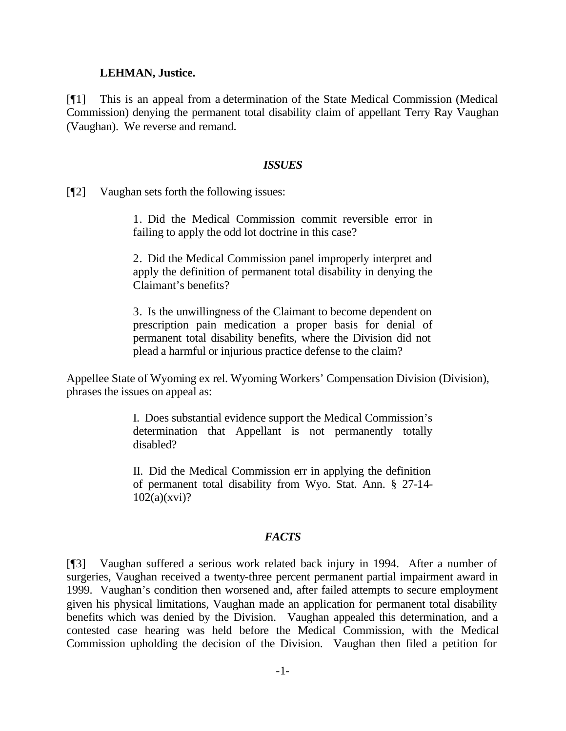#### **LEHMAN, Justice.**

[¶1] This is an appeal from a determination of the State Medical Commission (Medical Commission) denying the permanent total disability claim of appellant Terry Ray Vaughan (Vaughan). We reverse and remand.

#### *ISSUES*

[¶2] Vaughan sets forth the following issues:

1. Did the Medical Commission commit reversible error in failing to apply the odd lot doctrine in this case?

2. Did the Medical Commission panel improperly interpret and apply the definition of permanent total disability in denying the Claimant's benefits?

3. Is the unwillingness of the Claimant to become dependent on prescription pain medication a proper basis for denial of permanent total disability benefits, where the Division did not plead a harmful or injurious practice defense to the claim?

Appellee State of Wyoming ex rel. Wyoming Workers' Compensation Division (Division), phrases the issues on appeal as:

> I. Does substantial evidence support the Medical Commission's determination that Appellant is not permanently totally disabled?

> II. Did the Medical Commission err in applying the definition of permanent total disability from Wyo. Stat. Ann. § 27-14- 102(a)(xvi)?

### *FACTS*

[¶3] Vaughan suffered a serious work related back injury in 1994. After a number of surgeries, Vaughan received a twenty-three percent permanent partial impairment award in 1999. Vaughan's condition then worsened and, after failed attempts to secure employment given his physical limitations, Vaughan made an application for permanent total disability benefits which was denied by the Division. Vaughan appealed this determination, and a contested case hearing was held before the Medical Commission, with the Medical Commission upholding the decision of the Division. Vaughan then filed a petition for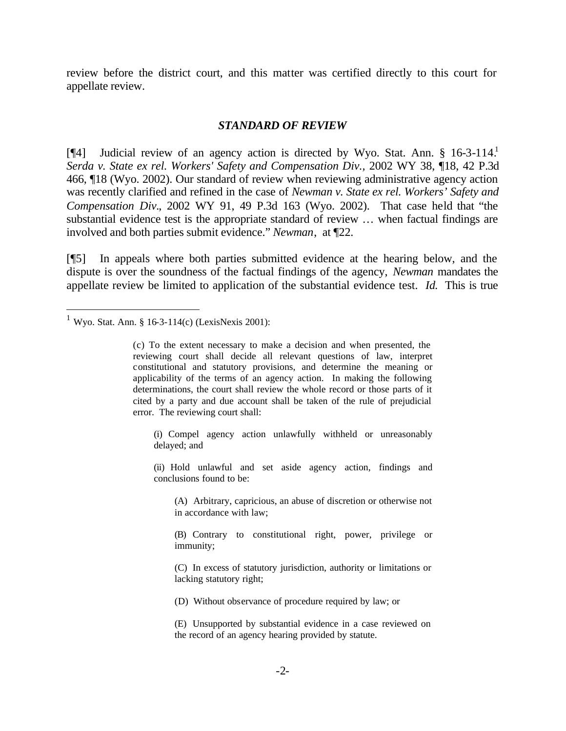review before the district court, and this matter was certified directly to this court for appellate review.

#### *STANDARD OF REVIEW*

[¶4] Judicial review of an agency action is directed by Wyo. Stat. Ann. § 16-3-114.<sup>1</sup> *Serda v. State ex rel. Workers' Safety and Compensation Div.,* 2002 WY 38, ¶18, 42 P.3d 466, ¶18 (Wyo. 2002). Our standard of review when reviewing administrative agency action was recently clarified and refined in the case of *Newman v. State ex rel. Workers' Safety and Compensation Div.*, 2002 WY 91, 49 P.3d 163 (Wyo. 2002). That case held that "the substantial evidence test is the appropriate standard of review … when factual findings are involved and both parties submit evidence." *Newman*, at ¶22.

[¶5] In appeals where both parties submitted evidence at the hearing below, and the dispute is over the soundness of the factual findings of the agency, *Newman* mandates the appellate review be limited to application of the substantial evidence test. *Id.* This is true

l

(i) Compel agency action unlawfully withheld or unreasonably delayed; and

(ii) Hold unlawful and set aside agency action, findings and conclusions found to be:

(A) Arbitrary, capricious, an abuse of discretion or otherwise not in accordance with law;

(B) Contrary to constitutional right, power, privilege or immunity;

(C) In excess of statutory jurisdiction, authority or limitations or lacking statutory right;

(D) Without observance of procedure required by law; or

(E) Unsupported by substantial evidence in a case reviewed on the record of an agency hearing provided by statute.

<sup>&</sup>lt;sup>1</sup> Wyo. Stat. Ann. § 16-3-114(c) (LexisNexis 2001):

<sup>(</sup>c) To the extent necessary to make a decision and when presented, the reviewing court shall decide all relevant questions of law, interpret constitutional and statutory provisions, and determine the meaning or applicability of the terms of an agency action. In making the following determinations, the court shall review the whole record or those parts of it cited by a party and due account shall be taken of the rule of prejudicial error. The reviewing court shall: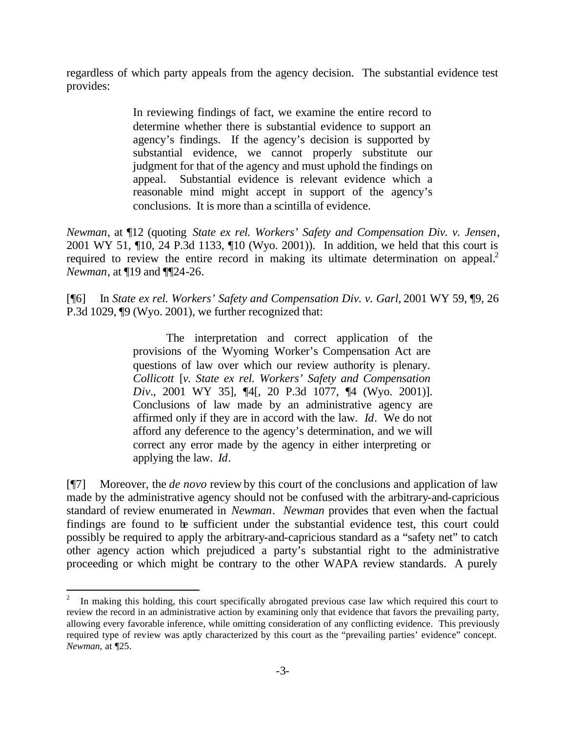regardless of which party appeals from the agency decision. The substantial evidence test provides:

> In reviewing findings of fact, we examine the entire record to determine whether there is substantial evidence to support an agency's findings. If the agency's decision is supported by substantial evidence, we cannot properly substitute our judgment for that of the agency and must uphold the findings on appeal. Substantial evidence is relevant evidence which a reasonable mind might accept in support of the agency's conclusions. It is more than a scintilla of evidence.

*Newman*, at ¶12 (quoting *State ex rel. Workers' Safety and Compensation Div. v. Jensen*, 2001 WY 51, ¶10, 24 P.3d 1133, ¶10 (Wyo. 2001)). In addition, we held that this court is required to review the entire record in making its ultimate determination on appeal.<sup>2</sup> *Newman*, at ¶19 and ¶¶24-26.

[¶6] In *State ex rel. Workers' Safety and Compensation Div. v. Garl,* 2001 WY 59, ¶9, 26 P.3d 1029, ¶9 (Wyo. 2001), we further recognized that:

> The interpretation and correct application of the provisions of the Wyoming Worker's Compensation Act are questions of law over which our review authority is plenary. *Collicott* [*v. State ex rel. Workers' Safety and Compensation Div.*, 2001 WY 35], ¶4[, 20 P.3d 1077, ¶4 (Wyo. 2001)]. Conclusions of law made by an administrative agency are affirmed only if they are in accord with the law. *Id*. We do not afford any deference to the agency's determination, and we will correct any error made by the agency in either interpreting or applying the law. *Id*.

[¶7] Moreover, the *de novo* review by this court of the conclusions and application of law made by the administrative agency should not be confused with the arbitrary-and-capricious standard of review enumerated in *Newman*. *Newman* provides that even when the factual findings are found to be sufficient under the substantial evidence test, this court could possibly be required to apply the arbitrary-and-capricious standard as a "safety net" to catch other agency action which prejudiced a party's substantial right to the administrative proceeding or which might be contrary to the other WAPA review standards. A purely

 $\frac{1}{2}$  In making this holding, this court specifically abrogated previous case law which required this court to review the record in an administrative action by examining only that evidence that favors the prevailing party, allowing every favorable inference, while omitting consideration of any conflicting evidence. This previously required type of review was aptly characterized by this court as the "prevailing parties' evidence" concept. *Newman*, at ¶25.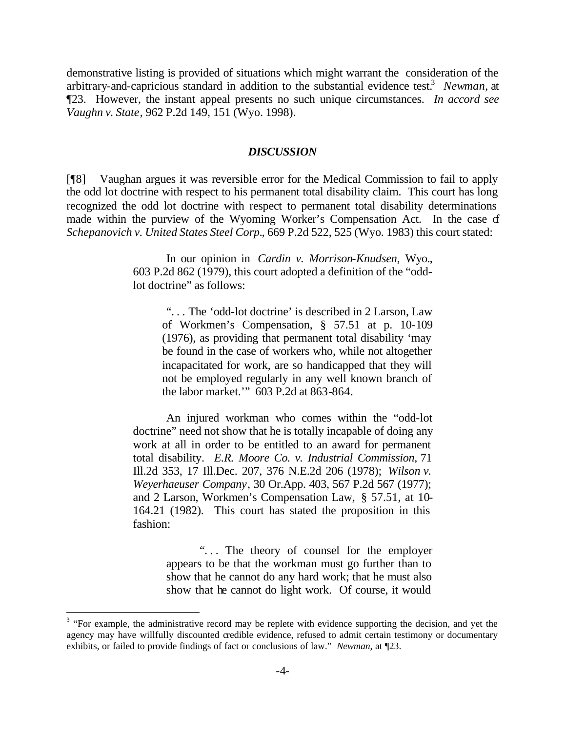demonstrative listing is provided of situations which might warrant the consideration of the arbitrary-and-capricious standard in addition to the substantial evidence test.<sup>3</sup> Newman, at ¶23. However, the instant appeal presents no such unique circumstances. *In accord see Vaughn v. State*, 962 P.2d 149, 151 (Wyo. 1998).

#### *DISCUSSION*

[¶8] Vaughan argues it was reversible error for the Medical Commission to fail to apply the odd lot doctrine with respect to his permanent total disability claim. This court has long recognized the odd lot doctrine with respect to permanent total disability determinations made within the purview of the Wyoming Worker's Compensation Act. In the case of *Schepanovich v. United States Steel Corp.*, 669 P.2d 522, 525 (Wyo. 1983) this court stated:

> In our opinion in *Cardin v. Morrison-Knudsen*, Wyo., 603 P.2d 862 (1979), this court adopted a definition of the "oddlot doctrine" as follows:

". . . The 'odd-lot doctrine' is described in 2 Larson, Law of Workmen's Compensation, § 57.51 at p. 10-109 (1976), as providing that permanent total disability 'may be found in the case of workers who, while not altogether incapacitated for work, are so handicapped that they will not be employed regularly in any well known branch of the labor market.'" 603 P.2d at 863-864.

An injured workman who comes within the "odd-lot doctrine" need not show that he is totally incapable of doing any work at all in order to be entitled to an award for permanent total disability. *E.R. Moore Co. v. Industrial Commission*, 71 Ill.2d 353, 17 Ill.Dec. 207, 376 N.E.2d 206 (1978); *Wilson v. Weyerhaeuser Company*, 30 Or.App. 403, 567 P.2d 567 (1977); and 2 Larson, Workmen's Compensation Law, § 57.51, at 10- 164.21 (1982). This court has stated the proposition in this fashion:

> "... The theory of counsel for the employer appears to be that the workman must go further than to show that he cannot do any hard work; that he must also show that he cannot do light work. Of course, it would

 $3$  "For example, the administrative record may be replete with evidence supporting the decision, and yet the agency may have willfully discounted credible evidence, refused to admit certain testimony or documentary exhibits, or failed to provide findings of fact or conclusions of law." *Newman*, at ¶23.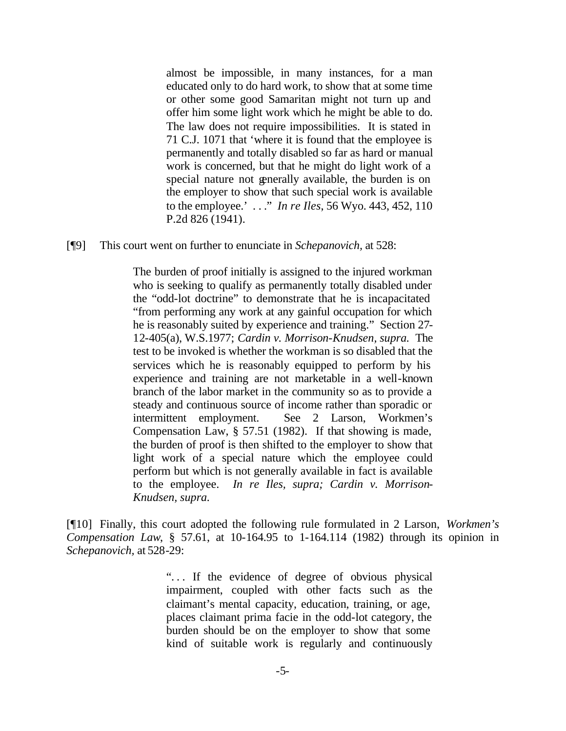almost be impossible, in many instances, for a man educated only to do hard work, to show that at some time or other some good Samaritan might not turn up and offer him some light work which he might be able to do. The law does not require impossibilities. It is stated in 71 C.J. 1071 that 'where it is found that the employee is permanently and totally disabled so far as hard or manual work is concerned, but that he might do light work of a special nature not generally available, the burden is on the employer to show that such special work is available to the employee.' . . ." *In re Iles*, 56 Wyo. 443, 452, 110 P.2d 826 (1941).

[¶9] This court went on further to enunciate in *Schepanovich,* at 528:

The burden of proof initially is assigned to the injured workman who is seeking to qualify as permanently totally disabled under the "odd-lot doctrine" to demonstrate that he is incapacitated "from performing any work at any gainful occupation for which he is reasonably suited by experience and training." Section 27- 12-405(a), W.S.1977; *Cardin v. Morrison-Knudsen, supra.* The test to be invoked is whether the workman is so disabled that the services which he is reasonably equipped to perform by his experience and training are not marketable in a well-known branch of the labor market in the community so as to provide a steady and continuous source of income rather than sporadic or intermittent employment. See 2 Larson, Workmen's Compensation Law, § 57.51 (1982). If that showing is made, the burden of proof is then shifted to the employer to show that light work of a special nature which the employee could perform but which is not generally available in fact is available to the employee. *In re Iles, supra; Cardin v. Morrison-Knudsen, supra.*

[¶10] Finally, this court adopted the following rule formulated in 2 Larson, *Workmen's Compensation Law*, § 57.61, at 10-164.95 to 1-164.114 (1982) through its opinion in *Schepanovich,* at 528-29:

> ". . . If the evidence of degree of obvious physical impairment, coupled with other facts such as the claimant's mental capacity, education, training, or age, places claimant prima facie in the odd-lot category, the burden should be on the employer to show that some kind of suitable work is regularly and continuously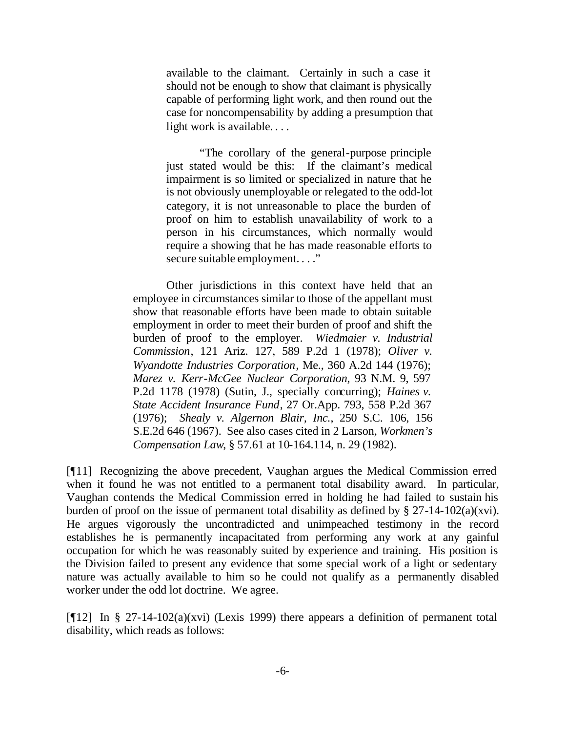available to the claimant. Certainly in such a case it should not be enough to show that claimant is physically capable of performing light work, and then round out the case for noncompensability by adding a presumption that light work is available....

"The corollary of the general-purpose principle just stated would be this: If the claimant's medical impairment is so limited or specialized in nature that he is not obviously unemployable or relegated to the odd-lot category, it is not unreasonable to place the burden of proof on him to establish unavailability of work to a person in his circumstances, which normally would require a showing that he has made reasonable efforts to secure suitable employment. . . ."

Other jurisdictions in this context have held that an employee in circumstances similar to those of the appellant must show that reasonable efforts have been made to obtain suitable employment in order to meet their burden of proof and shift the burden of proof to the employer. *Wiedmaier v. Industrial Commission*, 121 Ariz. 127, 589 P.2d 1 (1978); *Oliver v. Wyandotte Industries Corporation*, Me., 360 A.2d 144 (1976); *Marez v. Kerr-McGee Nuclear Corporation*, 93 N.M. 9, 597 P.2d 1178 (1978) (Sutin, J., specially concurring); *Haines v. State Accident Insurance Fund*, 27 Or.App. 793, 558 P.2d 367 (1976); *Shealy v. Algernon Blair, Inc.*, 250 S.C. 106, 156 S.E.2d 646 (1967). See also cases cited in 2 Larson, *Workmen's Compensation Law*, § 57.61 at 10-164.114, n. 29 (1982).

[¶11] Recognizing the above precedent, Vaughan argues the Medical Commission erred when it found he was not entitled to a permanent total disability award. In particular, Vaughan contends the Medical Commission erred in holding he had failed to sustain his burden of proof on the issue of permanent total disability as defined by  $\S 27-14-102(a)(xvi)$ . He argues vigorously the uncontradicted and unimpeached testimony in the record establishes he is permanently incapacitated from performing any work at any gainful occupation for which he was reasonably suited by experience and training. His position is the Division failed to present any evidence that some special work of a light or sedentary nature was actually available to him so he could not qualify as a permanently disabled worker under the odd lot doctrine. We agree.

[ $[12]$  In § 27-14-102(a)(xvi) (Lexis 1999) there appears a definition of permanent total disability, which reads as follows: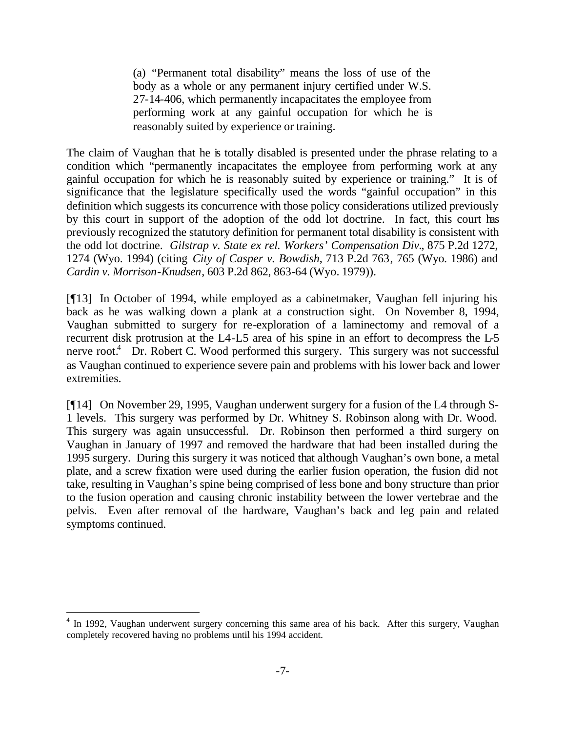(a) "Permanent total disability" means the loss of use of the body as a whole or any permanent injury certified under W.S. 27-14-406, which permanently incapacitates the employee from performing work at any gainful occupation for which he is reasonably suited by experience or training.

The claim of Vaughan that he is totally disabled is presented under the phrase relating to a condition which "permanently incapacitates the employee from performing work at any gainful occupation for which he is reasonably suited by experience or training." It is of significance that the legislature specifically used the words "gainful occupation" in this definition which suggests its concurrence with those policy considerations utilized previously by this court in support of the adoption of the odd lot doctrine. In fact, this court has previously recognized the statutory definition for permanent total disability is consistent with the odd lot doctrine. *Gilstrap v. State ex rel. Workers' Compensation Div.*, 875 P.2d 1272, 1274 (Wyo. 1994) (citing *City of Casper v. Bowdish*, 713 P.2d 763, 765 (Wyo. 1986) and *Cardin v. Morrison-Knudsen*, 603 P.2d 862, 863-64 (Wyo. 1979)).

[¶13] In October of 1994, while employed as a cabinetmaker, Vaughan fell injuring his back as he was walking down a plank at a construction sight. On November 8, 1994, Vaughan submitted to surgery for re-exploration of a laminectomy and removal of a recurrent disk protrusion at the L4-L5 area of his spine in an effort to decompress the L-5 nerve root.<sup>4</sup> Dr. Robert C. Wood performed this surgery. This surgery was not successful as Vaughan continued to experience severe pain and problems with his lower back and lower extremities.

[¶14] On November 29, 1995, Vaughan underwent surgery for a fusion of the L4 through S-1 levels. This surgery was performed by Dr. Whitney S. Robinson along with Dr. Wood. This surgery was again unsuccessful. Dr. Robinson then performed a third surgery on Vaughan in January of 1997 and removed the hardware that had been installed during the 1995 surgery. During this surgery it was noticed that although Vaughan's own bone, a metal plate, and a screw fixation were used during the earlier fusion operation, the fusion did not take, resulting in Vaughan's spine being comprised of less bone and bony structure than prior to the fusion operation and causing chronic instability between the lower vertebrae and the pelvis. Even after removal of the hardware, Vaughan's back and leg pain and related symptoms continued.

<sup>&</sup>lt;sup>4</sup> In 1992, Vaughan underwent surgery concerning this same area of his back. After this surgery, Vaughan completely recovered having no problems until his 1994 accident.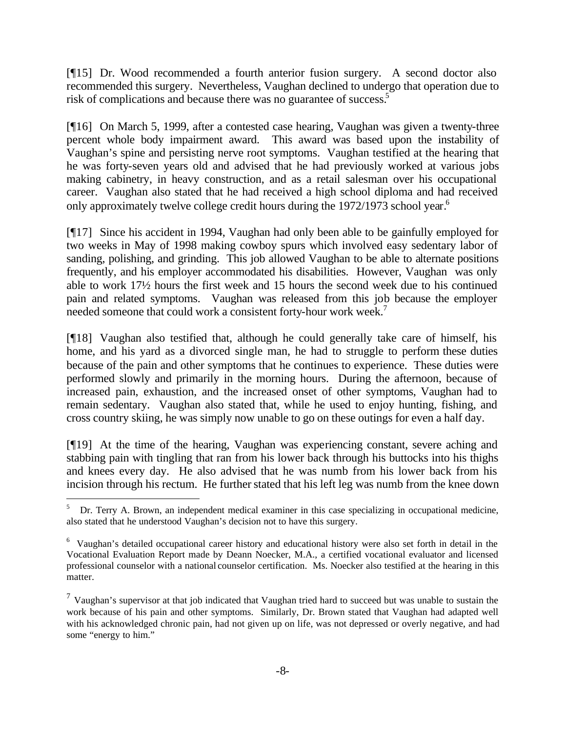[¶15] Dr. Wood recommended a fourth anterior fusion surgery. A second doctor also recommended this surgery. Nevertheless, Vaughan declined to undergo that operation due to risk of complications and because there was no guarantee of success.<sup>5</sup>

[¶16] On March 5, 1999, after a contested case hearing, Vaughan was given a twenty-three percent whole body impairment award. This award was based upon the instability of Vaughan's spine and persisting nerve root symptoms. Vaughan testified at the hearing that he was forty-seven years old and advised that he had previously worked at various jobs making cabinetry, in heavy construction, and as a retail salesman over his occupational career. Vaughan also stated that he had received a high school diploma and had received only approximately twelve college credit hours during the 1972/1973 school year.<sup>6</sup>

[¶17] Since his accident in 1994, Vaughan had only been able to be gainfully employed for two weeks in May of 1998 making cowboy spurs which involved easy sedentary labor of sanding, polishing, and grinding. This job allowed Vaughan to be able to alternate positions frequently, and his employer accommodated his disabilities. However, Vaughan was only able to work 17½ hours the first week and 15 hours the second week due to his continued pain and related symptoms. Vaughan was released from this job because the employer needed someone that could work a consistent forty-hour work week.<sup>7</sup>

[¶18] Vaughan also testified that, although he could generally take care of himself, his home, and his yard as a divorced single man, he had to struggle to perform these duties because of the pain and other symptoms that he continues to experience. These duties were performed slowly and primarily in the morning hours. During the afternoon, because of increased pain, exhaustion, and the increased onset of other symptoms, Vaughan had to remain sedentary. Vaughan also stated that, while he used to enjoy hunting, fishing, and cross country skiing, he was simply now unable to go on these outings for even a half day.

[¶19] At the time of the hearing, Vaughan was experiencing constant, severe aching and stabbing pain with tingling that ran from his lower back through his buttocks into his thighs and knees every day. He also advised that he was numb from his lower back from his incision through his rectum. He further stated that his left leg was numb from the knee down

<sup>5</sup> Dr. Terry A. Brown, an independent medical examiner in this case specializing in occupational medicine, also stated that he understood Vaughan's decision not to have this surgery.

<sup>&</sup>lt;sup>6</sup> Vaughan's detailed occupational career history and educational history were also set forth in detail in the Vocational Evaluation Report made by Deann Noecker, M.A., a certified vocational evaluator and licensed professional counselor with a national counselor certification. Ms. Noecker also testified at the hearing in this matter.

 $<sup>7</sup>$  Vaughan's supervisor at that job indicated that Vaughan tried hard to succeed but was unable to sustain the</sup> work because of his pain and other symptoms. Similarly, Dr. Brown stated that Vaughan had adapted well with his acknowledged chronic pain, had not given up on life, was not depressed or overly negative, and had some "energy to him."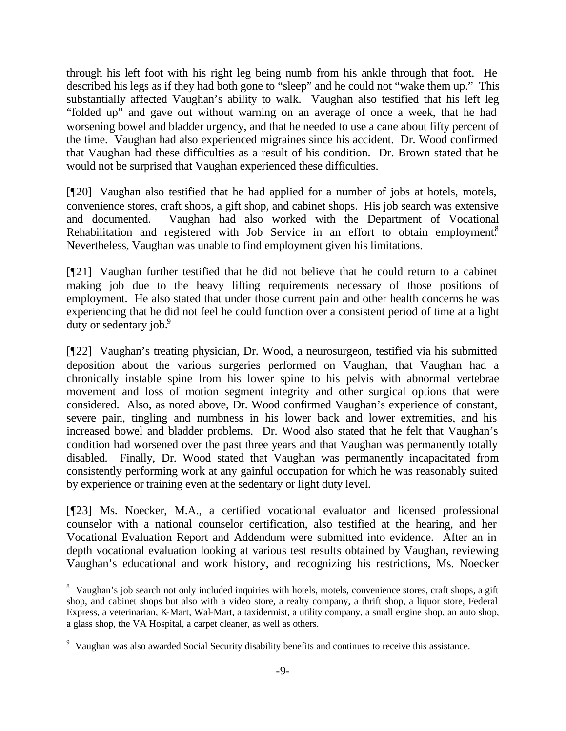through his left foot with his right leg being numb from his ankle through that foot. He described his legs as if they had both gone to "sleep" and he could not "wake them up." This substantially affected Vaughan's ability to walk. Vaughan also testified that his left leg "folded up" and gave out without warning on an average of once a week, that he had worsening bowel and bladder urgency, and that he needed to use a cane about fifty percent of the time. Vaughan had also experienced migraines since his accident. Dr. Wood confirmed that Vaughan had these difficulties as a result of his condition. Dr. Brown stated that he would not be surprised that Vaughan experienced these difficulties.

[¶20] Vaughan also testified that he had applied for a number of jobs at hotels, motels, convenience stores, craft shops, a gift shop, and cabinet shops. His job search was extensive and documented. Vaughan had also worked with the Department of Vocational Rehabilitation and registered with Job Service in an effort to obtain employment.<sup>8</sup> Nevertheless, Vaughan was unable to find employment given his limitations.

[¶21] Vaughan further testified that he did not believe that he could return to a cabinet making job due to the heavy lifting requirements necessary of those positions of employment. He also stated that under those current pain and other health concerns he was experiencing that he did not feel he could function over a consistent period of time at a light duty or sedentary job.<sup>9</sup>

[¶22] Vaughan's treating physician, Dr. Wood, a neurosurgeon, testified via his submitted deposition about the various surgeries performed on Vaughan, that Vaughan had a chronically instable spine from his lower spine to his pelvis with abnormal vertebrae movement and loss of motion segment integrity and other surgical options that were considered. Also, as noted above, Dr. Wood confirmed Vaughan's experience of constant, severe pain, tingling and numbness in his lower back and lower extremities, and his increased bowel and bladder problems. Dr. Wood also stated that he felt that Vaughan's condition had worsened over the past three years and that Vaughan was permanently totally disabled. Finally, Dr. Wood stated that Vaughan was permanently incapacitated from consistently performing work at any gainful occupation for which he was reasonably suited by experience or training even at the sedentary or light duty level.

[¶23] Ms. Noecker, M.A., a certified vocational evaluator and licensed professional counselor with a national counselor certification, also testified at the hearing, and her Vocational Evaluation Report and Addendum were submitted into evidence. After an in depth vocational evaluation looking at various test results obtained by Vaughan, reviewing Vaughan's educational and work history, and recognizing his restrictions, Ms. Noecker

<sup>&</sup>lt;sup>8</sup> Vaughan's job search not only included inquiries with hotels, motels, convenience stores, craft shops, a gift shop, and cabinet shops but also with a video store, a realty company, a thrift shop, a liquor store, Federal Express, a veterinarian, K-Mart, Wal-Mart, a taxidermist, a utility company, a small engine shop, an auto shop, a glass shop, the VA Hospital, a carpet cleaner, as well as others.

<sup>&</sup>lt;sup>9</sup> Vaughan was also awarded Social Security disability benefits and continues to receive this assistance.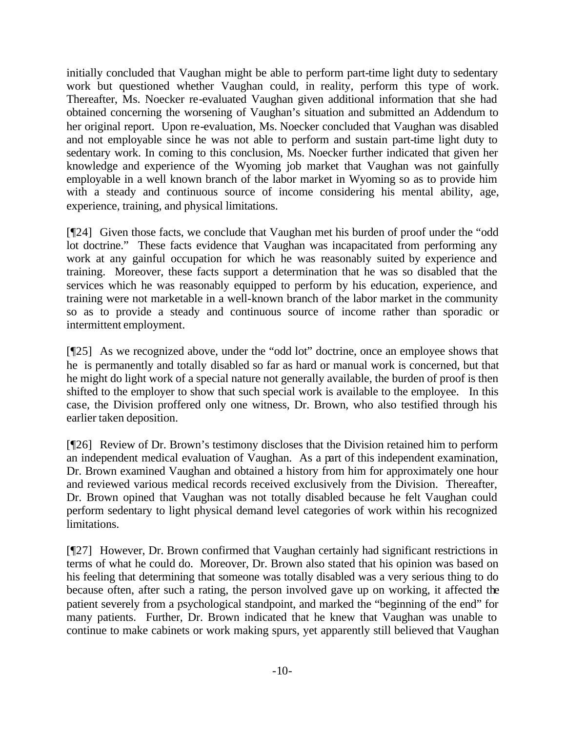initially concluded that Vaughan might be able to perform part-time light duty to sedentary work but questioned whether Vaughan could, in reality, perform this type of work. Thereafter, Ms. Noecker re-evaluated Vaughan given additional information that she had obtained concerning the worsening of Vaughan's situation and submitted an Addendum to her original report. Upon re-evaluation, Ms. Noecker concluded that Vaughan was disabled and not employable since he was not able to perform and sustain part-time light duty to sedentary work. In coming to this conclusion, Ms. Noecker further indicated that given her knowledge and experience of the Wyoming job market that Vaughan was not gainfully employable in a well known branch of the labor market in Wyoming so as to provide him with a steady and continuous source of income considering his mental ability, age, experience, training, and physical limitations.

[¶24] Given those facts, we conclude that Vaughan met his burden of proof under the "odd lot doctrine." These facts evidence that Vaughan was incapacitated from performing any work at any gainful occupation for which he was reasonably suited by experience and training. Moreover, these facts support a determination that he was so disabled that the services which he was reasonably equipped to perform by his education, experience, and training were not marketable in a well-known branch of the labor market in the community so as to provide a steady and continuous source of income rather than sporadic or intermittent employment.

[¶25] As we recognized above, under the "odd lot" doctrine, once an employee shows that he is permanently and totally disabled so far as hard or manual work is concerned, but that he might do light work of a special nature not generally available, the burden of proof is then shifted to the employer to show that such special work is available to the employee. In this case, the Division proffered only one witness, Dr. Brown, who also testified through his earlier taken deposition.

[¶26] Review of Dr. Brown's testimony discloses that the Division retained him to perform an independent medical evaluation of Vaughan. As a part of this independent examination, Dr. Brown examined Vaughan and obtained a history from him for approximately one hour and reviewed various medical records received exclusively from the Division. Thereafter, Dr. Brown opined that Vaughan was not totally disabled because he felt Vaughan could perform sedentary to light physical demand level categories of work within his recognized limitations.

[¶27] However, Dr. Brown confirmed that Vaughan certainly had significant restrictions in terms of what he could do. Moreover, Dr. Brown also stated that his opinion was based on his feeling that determining that someone was totally disabled was a very serious thing to do because often, after such a rating, the person involved gave up on working, it affected the patient severely from a psychological standpoint, and marked the "beginning of the end" for many patients. Further, Dr. Brown indicated that he knew that Vaughan was unable to continue to make cabinets or work making spurs, yet apparently still believed that Vaughan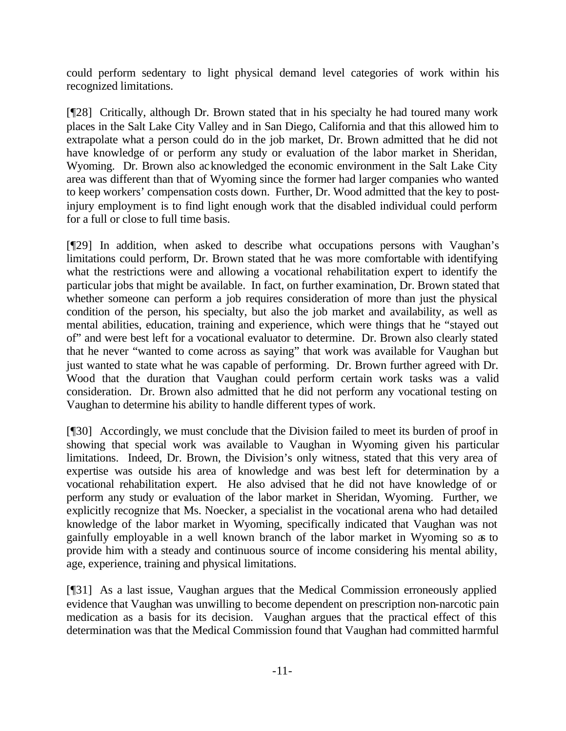could perform sedentary to light physical demand level categories of work within his recognized limitations.

[¶28] Critically, although Dr. Brown stated that in his specialty he had toured many work places in the Salt Lake City Valley and in San Diego, California and that this allowed him to extrapolate what a person could do in the job market, Dr. Brown admitted that he did not have knowledge of or perform any study or evaluation of the labor market in Sheridan, Wyoming. Dr. Brown also acknowledged the economic environment in the Salt Lake City area was different than that of Wyoming since the former had larger companies who wanted to keep workers' compensation costs down. Further, Dr. Wood admitted that the key to postinjury employment is to find light enough work that the disabled individual could perform for a full or close to full time basis.

[¶29] In addition, when asked to describe what occupations persons with Vaughan's limitations could perform, Dr. Brown stated that he was more comfortable with identifying what the restrictions were and allowing a vocational rehabilitation expert to identify the particular jobs that might be available. In fact, on further examination, Dr. Brown stated that whether someone can perform a job requires consideration of more than just the physical condition of the person, his specialty, but also the job market and availability, as well as mental abilities, education, training and experience, which were things that he "stayed out of" and were best left for a vocational evaluator to determine. Dr. Brown also clearly stated that he never "wanted to come across as saying" that work was available for Vaughan but just wanted to state what he was capable of performing. Dr. Brown further agreed with Dr. Wood that the duration that Vaughan could perform certain work tasks was a valid consideration. Dr. Brown also admitted that he did not perform any vocational testing on Vaughan to determine his ability to handle different types of work.

[¶30] Accordingly, we must conclude that the Division failed to meet its burden of proof in showing that special work was available to Vaughan in Wyoming given his particular limitations. Indeed, Dr. Brown, the Division's only witness, stated that this very area of expertise was outside his area of knowledge and was best left for determination by a vocational rehabilitation expert. He also advised that he did not have knowledge of or perform any study or evaluation of the labor market in Sheridan, Wyoming. Further, we explicitly recognize that Ms. Noecker, a specialist in the vocational arena who had detailed knowledge of the labor market in Wyoming, specifically indicated that Vaughan was not gainfully employable in a well known branch of the labor market in Wyoming so as to provide him with a steady and continuous source of income considering his mental ability, age, experience, training and physical limitations.

[¶31] As a last issue, Vaughan argues that the Medical Commission erroneously applied evidence that Vaughan was unwilling to become dependent on prescription non-narcotic pain medication as a basis for its decision. Vaughan argues that the practical effect of this determination was that the Medical Commission found that Vaughan had committed harmful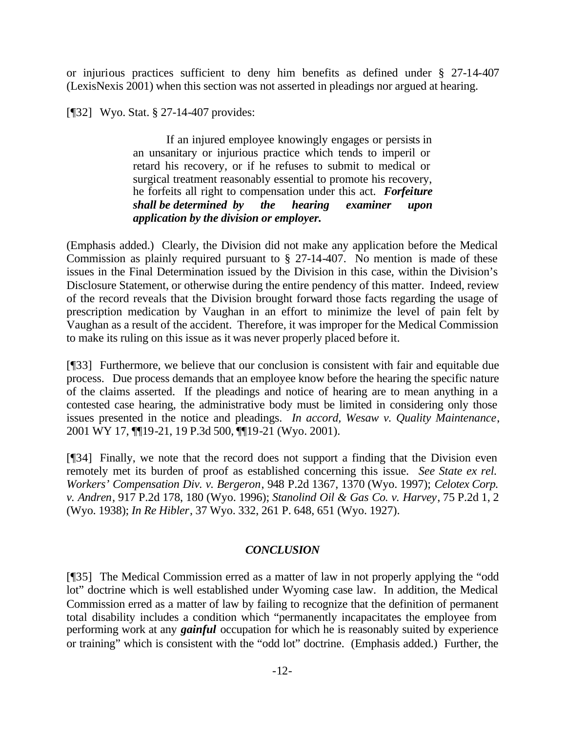or injurious practices sufficient to deny him benefits as defined under § 27-14-407 (LexisNexis 2001) when this section was not asserted in pleadings nor argued at hearing.

[¶32] Wyo. Stat. § 27-14-407 provides:

If an injured employee knowingly engages or persists in an unsanitary or injurious practice which tends to imperil or retard his recovery, or if he refuses to submit to medical or surgical treatment reasonably essential to promote his recovery, he forfeits all right to compensation under this act. *Forfeiture shall be determined by the hearing examiner upon application by the division or employer.*

(Emphasis added.) Clearly, the Division did not make any application before the Medical Commission as plainly required pursuant to § 27-14-407. No mention is made of these issues in the Final Determination issued by the Division in this case, within the Division's Disclosure Statement, or otherwise during the entire pendency of this matter. Indeed, review of the record reveals that the Division brought forward those facts regarding the usage of prescription medication by Vaughan in an effort to minimize the level of pain felt by Vaughan as a result of the accident. Therefore, it was improper for the Medical Commission to make its ruling on this issue as it was never properly placed before it.

[¶33] Furthermore, we believe that our conclusion is consistent with fair and equitable due process. Due process demands that an employee know before the hearing the specific nature of the claims asserted. If the pleadings and notice of hearing are to mean anything in a contested case hearing, the administrative body must be limited in considering only those issues presented in the notice and pleadings. *In accord, Wesaw v. Quality Maintenance*, 2001 WY 17, ¶¶19-21, 19 P.3d 500, ¶¶19-21 (Wyo. 2001).

[¶34] Finally, we note that the record does not support a finding that the Division even remotely met its burden of proof as established concerning this issue. *See State ex rel. Workers' Compensation Div. v. Bergeron*, 948 P.2d 1367, 1370 (Wyo. 1997); *Celotex Corp. v. Andren*, 917 P.2d 178, 180 (Wyo. 1996); *Stanolind Oil & Gas Co. v. Harvey*, 75 P.2d 1, 2 (Wyo. 1938); *In Re Hibler*, 37 Wyo. 332, 261 P. 648, 651 (Wyo. 1927).

## *CONCLUSION*

[¶35] The Medical Commission erred as a matter of law in not properly applying the "odd lot" doctrine which is well established under Wyoming case law. In addition, the Medical Commission erred as a matter of law by failing to recognize that the definition of permanent total disability includes a condition which "permanently incapacitates the employee from performing work at any *gainful* occupation for which he is reasonably suited by experience or training" which is consistent with the "odd lot" doctrine. (Emphasis added.) Further, the